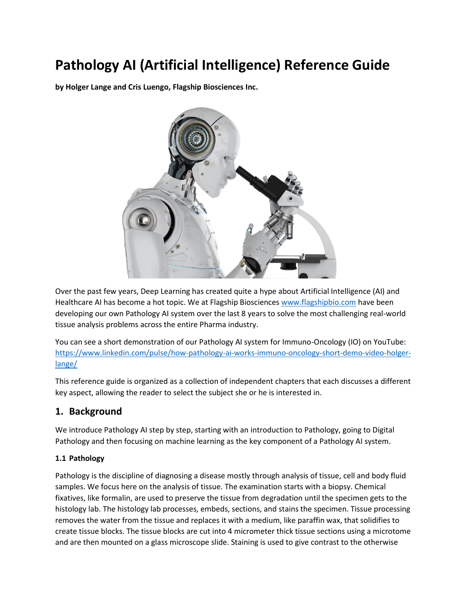# **Pathology AI (Artificial Intelligence) Reference Guide**

**by Holger Lange and Cris Luengo, Flagship Biosciences Inc.**



Over the past few years, Deep Learning has created quite a hype about Artificial Intelligence (AI) and Healthcare AI has become a hot topic. We at Flagship Bioscience[s www.flagshipbio.com](http://www.flagshipbio.com/) have been developing our own Pathology AI system over the last 8 years to solve the most challenging real-world tissue analysis problems across the entire Pharma industry.

You can see a short demonstration of our Pathology AI system for Immuno-Oncology (IO) on YouTube: [https://www.linkedin.com/pulse/how-pathology-ai-works-immuno-oncology-short-demo-video-holger](https://www.linkedin.com/pulse/how-pathology-ai-works-immuno-oncology-short-demo-video-holger-lange/)[lange/](https://www.linkedin.com/pulse/how-pathology-ai-works-immuno-oncology-short-demo-video-holger-lange/)

This reference guide is organized as a collection of independent chapters that each discusses a different key aspect, allowing the reader to select the subject she or he is interested in.

### **1. Background**

We introduce Pathology AI step by step, starting with an introduction to Pathology, going to Digital Pathology and then focusing on machine learning as the key component of a Pathology AI system.

#### **1.1 Pathology**

Pathology is the discipline of diagnosing a disease mostly through analysis of tissue, cell and body fluid samples. We focus here on the analysis of tissue. The examination starts with a biopsy. Chemical fixatives, like formalin, are used to preserve the tissue from degradation until the specimen gets to the histology lab. The histology lab processes, embeds, sections, and stains the specimen. Tissue processing removes the water from the tissue and replaces it with a medium, like paraffin wax, that solidifies to create tissue blocks. The tissue blocks are cut into 4 micrometer thick tissue sections using a microtome and are then mounted on a glass microscope slide. Staining is used to give contrast to the otherwise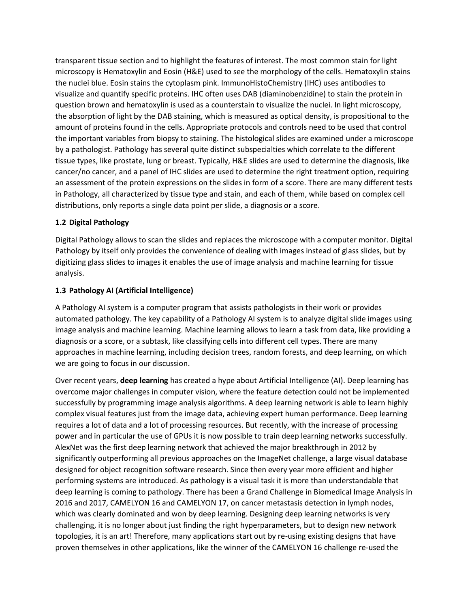transparent tissue section and to highlight the features of interest. The most common stain for light microscopy is Hematoxylin and Eosin (H&E) used to see the morphology of the cells. Hematoxylin stains the nuclei blue. Eosin stains the cytoplasm pink. ImmunoHistoChemistry (IHC) uses antibodies to visualize and quantify specific proteins. IHC often uses DAB (diaminobenzidine) to stain the protein in question brown and hematoxylin is used as a counterstain to visualize the nuclei. In light microscopy, the absorption of light by the DAB staining, which is measured as optical density, is propositional to the amount of proteins found in the cells. Appropriate protocols and controls need to be used that control the important variables from biopsy to staining. The histological slides are examined under a microscope by a pathologist. Pathology has several quite distinct subspecialties which correlate to the different tissue types, like prostate, lung or breast. Typically, H&E slides are used to determine the diagnosis, like cancer/no cancer, and a panel of IHC slides are used to determine the right treatment option, requiring an assessment of the protein expressions on the slides in form of a score. There are many different tests in Pathology, all characterized by tissue type and stain, and each of them, while based on complex cell distributions, only reports a single data point per slide, a diagnosis or a score.

#### **1.2 Digital Pathology**

Digital Pathology allows to scan the slides and replaces the microscope with a computer monitor. Digital Pathology by itself only provides the convenience of dealing with images instead of glass slides, but by digitizing glass slides to images it enables the use of image analysis and machine learning for tissue analysis.

#### **1.3 Pathology AI (Artificial Intelligence)**

A Pathology AI system is a computer program that assists pathologists in their work or provides automated pathology. The key capability of a Pathology AI system is to analyze digital slide images using image analysis and machine learning. Machine learning allows to learn a task from data, like providing a diagnosis or a score, or a subtask, like classifying cells into different cell types. There are many approaches in machine learning, including decision trees, random forests, and deep learning, on which we are going to focus in our discussion.

Over recent years, **deep learning** has created a hype about Artificial Intelligence (AI). Deep learning has overcome major challenges in computer vision, where the feature detection could not be implemented successfully by programming image analysis algorithms. A deep learning network is able to learn highly complex visual features just from the image data, achieving expert human performance. Deep learning requires a lot of data and a lot of processing resources. But recently, with the increase of processing power and in particular the use of GPUs it is now possible to train deep learning networks successfully. AlexNet was the first deep learning network that achieved the major breakthrough in 2012 by significantly outperforming all previous approaches on the ImageNet challenge, a large visual database designed for object recognition software research. Since then every year more efficient and higher performing systems are introduced. As pathology is a visual task it is more than understandable that deep learning is coming to pathology. There has been a Grand Challenge in Biomedical Image Analysis in 2016 and 2017, CAMELYON 16 and CAMELYON 17, on cancer metastasis detection in lymph nodes, which was clearly dominated and won by deep learning. Designing deep learning networks is very challenging, it is no longer about just finding the right hyperparameters, but to design new network topologies, it is an art! Therefore, many applications start out by re-using existing designs that have proven themselves in other applications, like the winner of the CAMELYON 16 challenge re-used the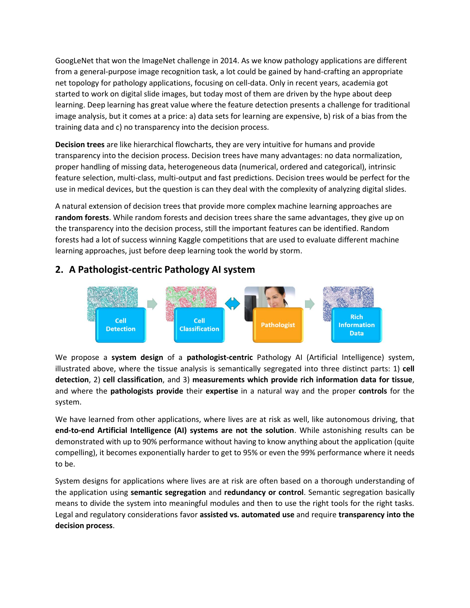GoogLeNet that won the ImageNet challenge in 2014. As we know pathology applications are different from a general-purpose image recognition task, a lot could be gained by hand-crafting an appropriate net topology for pathology applications, focusing on cell-data. Only in recent years, academia got started to work on digital slide images, but today most of them are driven by the hype about deep learning. Deep learning has great value where the feature detection presents a challenge for traditional image analysis, but it comes at a price: a) data sets for learning are expensive, b) risk of a bias from the training data and c) no transparency into the decision process.

**Decision trees** are like hierarchical flowcharts, they are very intuitive for humans and provide transparency into the decision process. Decision trees have many advantages: no data normalization, proper handling of missing data, heterogeneous data (numerical, ordered and categorical), intrinsic feature selection, multi-class, multi-output and fast predictions. Decision trees would be perfect for the use in medical devices, but the question is can they deal with the complexity of analyzing digital slides.

A natural extension of decision trees that provide more complex machine learning approaches are **random forests**. While random forests and decision trees share the same advantages, they give up on the transparency into the decision process, still the important features can be identified. Random forests had a lot of success winning Kaggle competitions that are used to evaluate different machine learning approaches, just before deep learning took the world by storm.

### **2. A Pathologist-centric Pathology AI system**



We propose a **system design** of a **pathologist-centric** Pathology AI (Artificial Intelligence) system, illustrated above, where the tissue analysis is semantically segregated into three distinct parts: 1) **cell detection**, 2) **cell classification**, and 3) **measurements which provide rich information data for tissue**, and where the **pathologists provide** their **expertise** in a natural way and the proper **controls** for the system.

We have learned from other applications, where lives are at risk as well, like autonomous driving, that **end-to-end Artificial Intelligence (AI) systems are not the solution**. While astonishing results can be demonstrated with up to 90% performance without having to know anything about the application (quite compelling), it becomes exponentially harder to get to 95% or even the 99% performance where it needs to be.

System designs for applications where lives are at risk are often based on a thorough understanding of the application using **semantic segregation** and **redundancy or control**. Semantic segregation basically means to divide the system into meaningful modules and then to use the right tools for the right tasks. Legal and regulatory considerations favor **assisted vs. automated use** and require **transparency into the decision process**.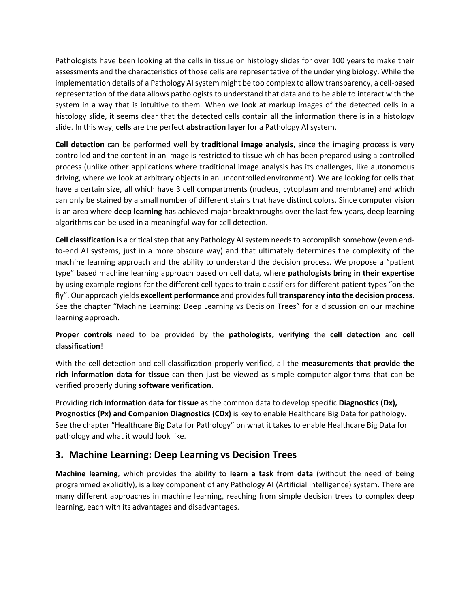Pathologists have been looking at the cells in tissue on histology slides for over 100 years to make their assessments and the characteristics of those cells are representative of the underlying biology. While the implementation details of a Pathology AI system might be too complex to allow transparency, a cell-based representation of the data allows pathologists to understand that data and to be able to interact with the system in a way that is intuitive to them. When we look at markup images of the detected cells in a histology slide, it seems clear that the detected cells contain all the information there is in a histology slide. In this way, **cells** are the perfect **abstraction layer** for a Pathology AI system.

**Cell detection** can be performed well by **traditional image analysis**, since the imaging process is very controlled and the content in an image is restricted to tissue which has been prepared using a controlled process (unlike other applications where traditional image analysis has its challenges, like autonomous driving, where we look at arbitrary objects in an uncontrolled environment). We are looking for cells that have a certain size, all which have 3 cell compartments (nucleus, cytoplasm and membrane) and which can only be stained by a small number of different stains that have distinct colors. Since computer vision is an area where **deep learning** has achieved major breakthroughs over the last few years, deep learning algorithms can be used in a meaningful way for cell detection.

**Cell classification** is a critical step that any Pathology AI system needs to accomplish somehow (even endto-end AI systems, just in a more obscure way) and that ultimately determines the complexity of the machine learning approach and the ability to understand the decision process. We propose a "patient type" based machine learning approach based on cell data, where **pathologists bring in their expertise** by using example regions for the different cell types to train classifiers for different patient types "on the fly". Our approach yields **excellent performance** and provides full **transparency into the decision process**. See the chapter "Machine Learning: Deep Learning vs Decision Trees" for a discussion on our machine learning approach.

#### **Proper controls** need to be provided by the **pathologists, verifying** the **cell detection** and **cell classification**!

With the cell detection and cell classification properly verified, all the **measurements that provide the rich information data for tissue** can then just be viewed as simple computer algorithms that can be verified properly during **software verification**.

Providing **rich information data for tissue** as the common data to develop specific **Diagnostics (Dx), Prognostics (Px) and Companion Diagnostics (CDx)** is key to enable Healthcare Big Data for pathology. See the chapter "Healthcare Big Data for Pathology" on what it takes to enable Healthcare Big Data for pathology and what it would look like.

### **3. Machine Learning: Deep Learning vs Decision Trees**

**Machine learning**, which provides the ability to **learn a task from data** (without the need of being programmed explicitly), is a key component of any Pathology AI (Artificial Intelligence) system. There are many different approaches in machine learning, reaching from simple decision trees to complex deep learning, each with its advantages and disadvantages.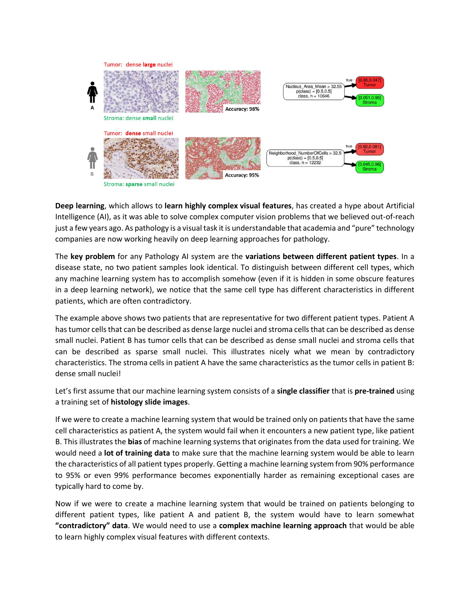

**Deep learning**, which allows to **learn highly complex visual features**, has created a hype about Artificial Intelligence (AI), as it was able to solve complex computer vision problems that we believed out-of-reach just a few years ago. As pathology is a visual task it is understandable that academia and "pure" technology companies are now working heavily on deep learning approaches for pathology.

The **key problem** for any Pathology AI system are the **variations between different patient types**. In a disease state, no two patient samples look identical. To distinguish between different cell types, which any machine learning system has to accomplish somehow (even if it is hidden in some obscure features in a deep learning network), we notice that the same cell type has different characteristics in different patients, which are often contradictory.

The example above shows two patients that are representative for two different patient types. Patient A has tumor cells that can be described as dense large nuclei and stroma cells that can be described as dense small nuclei. Patient B has tumor cells that can be described as dense small nuclei and stroma cells that can be described as sparse small nuclei. This illustrates nicely what we mean by contradictory characteristics. The stroma cells in patient A have the same characteristics as the tumor cells in patient B: dense small nuclei!

Let's first assume that our machine learning system consists of a **single classifier** that is **pre-trained** using a training set of **histology slide images**.

If we were to create a machine learning system that would be trained only on patients that have the same cell characteristics as patient A, the system would fail when it encounters a new patient type, like patient B. This illustrates the **bias** of machine learning systems that originates from the data used for training. We would need a **lot of training data** to make sure that the machine learning system would be able to learn the characteristics of all patient types properly. Getting a machine learning system from 90% performance to 95% or even 99% performance becomes exponentially harder as remaining exceptional cases are typically hard to come by.

Now if we were to create a machine learning system that would be trained on patients belonging to different patient types, like patient A and patient B, the system would have to learn somewhat **"contradictory" data**. We would need to use a **complex machine learning approach** that would be able to learn highly complex visual features with different contexts.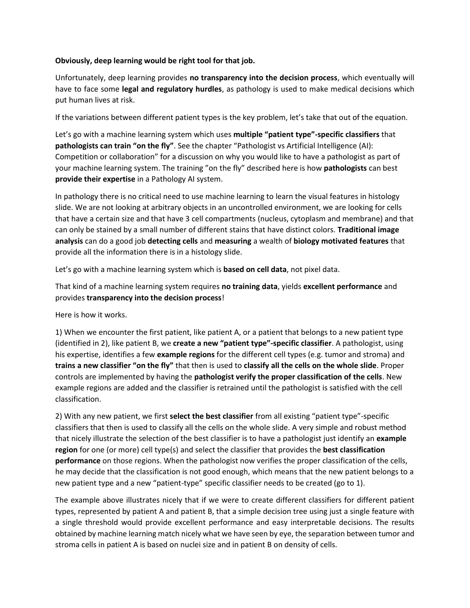#### **Obviously, deep learning would be right tool for that job.**

Unfortunately, deep learning provides **no transparency into the decision process**, which eventually will have to face some **legal and regulatory hurdles**, as pathology is used to make medical decisions which put human lives at risk.

If the variations between different patient types is the key problem, let's take that out of the equation.

Let's go with a machine learning system which uses **multiple "patient type"-specific classifiers** that **pathologists can train "on the fly"**. See the chapter "Pathologist vs Artificial Intelligence (AI): Competition or collaboration" for a discussion on why you would like to have a pathologist as part of your machine learning system. The training "on the fly" described here is how **pathologists** can best **provide their expertise** in a Pathology AI system.

In pathology there is no critical need to use machine learning to learn the visual features in histology slide. We are not looking at arbitrary objects in an uncontrolled environment, we are looking for cells that have a certain size and that have 3 cell compartments (nucleus, cytoplasm and membrane) and that can only be stained by a small number of different stains that have distinct colors. **Traditional image analysis** can do a good job **detecting cells** and **measuring** a wealth of **biology motivated features** that provide all the information there is in a histology slide.

Let's go with a machine learning system which is **based on cell data**, not pixel data.

That kind of a machine learning system requires **no training data**, yields **excellent performance** and provides **transparency into the decision process**!

Here is how it works.

1) When we encounter the first patient, like patient A, or a patient that belongs to a new patient type (identified in 2), like patient B, we **create a new "patient type"-specific classifier**. A pathologist, using his expertise, identifies a few **example regions** for the different cell types (e.g. tumor and stroma) and **trains a new classifier "on the fly"** that then is used to **classify all the cells on the whole slide**. Proper controls are implemented by having the **pathologist verify the proper classification of the cells**. New example regions are added and the classifier is retrained until the pathologist is satisfied with the cell classification.

2) With any new patient, we first **select the best classifier** from all existing "patient type"-specific classifiers that then is used to classify all the cells on the whole slide. A very simple and robust method that nicely illustrate the selection of the best classifier is to have a pathologist just identify an **example region** for one (or more) cell type(s) and select the classifier that provides the **best classification performance** on those regions. When the pathologist now verifies the proper classification of the cells, he may decide that the classification is not good enough, which means that the new patient belongs to a new patient type and a new "patient-type" specific classifier needs to be created (go to 1).

The example above illustrates nicely that if we were to create different classifiers for different patient types, represented by patient A and patient B, that a simple decision tree using just a single feature with a single threshold would provide excellent performance and easy interpretable decisions. The results obtained by machine learning match nicely what we have seen by eye, the separation between tumor and stroma cells in patient A is based on nuclei size and in patient B on density of cells.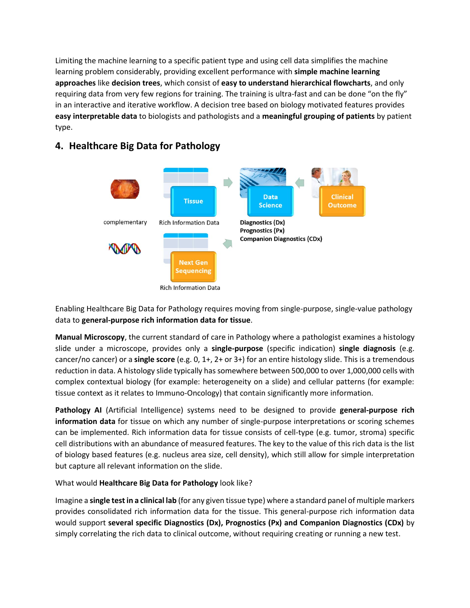Limiting the machine learning to a specific patient type and using cell data simplifies the machine learning problem considerably, providing excellent performance with **simple machine learning approaches** like **decision trees**, which consist of **easy to understand hierarchical flowcharts**, and only requiring data from very few regions for training. The training is ultra-fast and can be done "on the fly" in an interactive and iterative workflow. A decision tree based on biology motivated features provides **easy interpretable data** to biologists and pathologists and a **meaningful grouping of patients** by patient type.



## **4. Healthcare Big Data for Pathology**

Enabling Healthcare Big Data for Pathology requires moving from single-purpose, single-value pathology data to **general-purpose rich information data for tissue**.

**Manual Microscopy**, the current standard of care in Pathology where a pathologist examines a histology slide under a microscope, provides only a **single-purpose** (specific indication) **single diagnosis** (e.g. cancer/no cancer) or a **single score** (e.g. 0, 1+, 2+ or 3+) for an entire histology slide. This is a tremendous reduction in data. A histology slide typically has somewhere between 500,000 to over 1,000,000 cells with complex contextual biology (for example: heterogeneity on a slide) and cellular patterns (for example: tissue context as it relates to Immuno-Oncology) that contain significantly more information.

**Pathology AI** (Artificial Intelligence) systems need to be designed to provide **general-purpose rich information data** for tissue on which any number of single-purpose interpretations or scoring schemes can be implemented. Rich information data for tissue consists of cell-type (e.g. tumor, stroma) specific cell distributions with an abundance of measured features. The key to the value of this rich data is the list of biology based features (e.g. nucleus area size, cell density), which still allow for simple interpretation but capture all relevant information on the slide.

What would **Healthcare Big Data for Pathology** look like?

Imagine a **single test in a clinical lab** (for any given tissue type) where a standard panel of multiple markers provides consolidated rich information data for the tissue. This general-purpose rich information data would support **several specific Diagnostics (Dx), Prognostics (Px) and Companion Diagnostics (CDx)** by simply correlating the rich data to clinical outcome, without requiring creating or running a new test.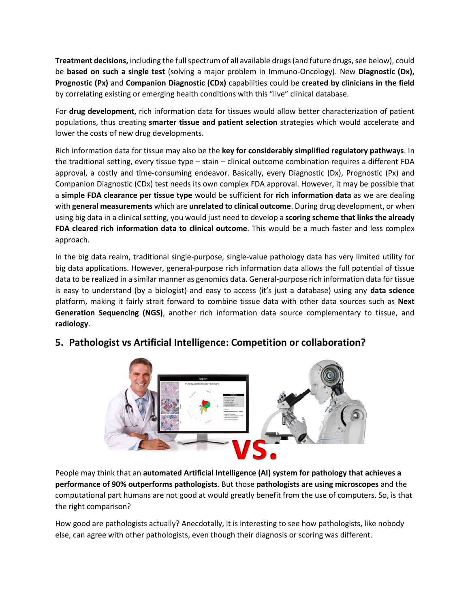**Treatment decisions,** including the full spectrum of all available drugs (and future drugs, see below), could be **based on such a single test** (solving a major problem in Immuno-Oncology). New **Diagnostic (Dx), Prognostic (Px)** and **Companion Diagnostic (CDx)** capabilities could be **created by clinicians in the field** by correlating existing or emerging health conditions with this "live" clinical database.

For **drug development**, rich information data for tissues would allow better characterization of patient populations, thus creating **smarter tissue and patient selection** strategies which would accelerate and lower the costs of new drug developments.

Rich information data for tissue may also be the **key for considerably simplified regulatory pathways**. In the traditional setting, every tissue type – stain – clinical outcome combination requires a different FDA approval, a costly and time-consuming endeavor. Basically, every Diagnostic (Dx), Prognostic (Px) and Companion Diagnostic (CDx) test needs its own complex FDA approval. However, it may be possible that a **simple FDA clearance per tissue type** would be sufficient for **rich information data** as we are dealing with **general measurements** which are **unrelated to clinical outcome**. During drug development, or when using big data in a clinical setting, you would just need to develop a **scoring scheme that links the already FDA cleared rich information data to clinical outcome**. This would be a much faster and less complex approach.

In the big data realm, traditional single-purpose, single-value pathology data has very limited utility for big data applications. However, general-purpose rich information data allows the full potential of tissue data to be realized in a similar manner as genomics data. General-purpose rich information data for tissue is easy to understand (by a biologist) and easy to access (it's just a database) using any **data science** platform, making it fairly strait forward to combine tissue data with other data sources such as **Next Generation Sequencing (NGS)**, another rich information data source complementary to tissue, and **radiology**.



# **5. Pathologist vs Artificial Intelligence: Competition or collaboration?**

People may think that an **automated Artificial Intelligence (AI) system for pathology that achieves a performance of 90% outperforms pathologists**. But those **pathologists are using microscopes** and the computational part humans are not good at would greatly benefit from the use of computers. So, is that the right comparison?

How good are pathologists actually? Anecdotally, it is interesting to see how pathologists, like nobody else, can agree with other pathologists, even though their diagnosis or scoring was different.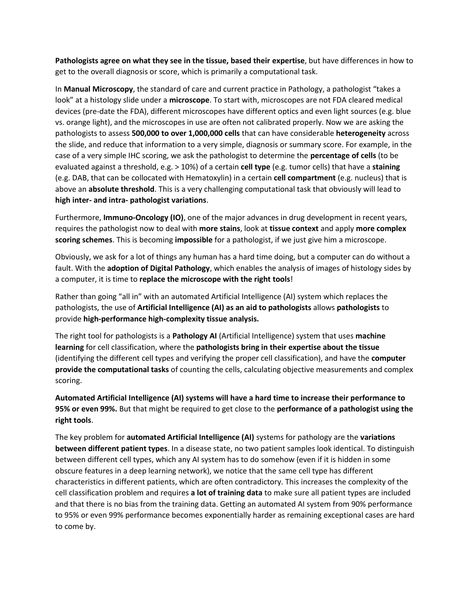**Pathologists agree on what they see in the tissue, based their expertise**, but have differences in how to get to the overall diagnosis or score, which is primarily a computational task.

In **Manual Microscopy**, the standard of care and current practice in Pathology, a pathologist "takes a look" at a histology slide under a **microscope**. To start with, microscopes are not FDA cleared medical devices (pre-date the FDA), different microscopes have different optics and even light sources (e.g. blue vs. orange light), and the microscopes in use are often not calibrated properly. Now we are asking the pathologists to assess **500,000 to over 1,000,000 cells** that can have considerable **heterogeneity** across the slide, and reduce that information to a very simple, diagnosis or summary score. For example, in the case of a very simple IHC scoring, we ask the pathologist to determine the **percentage of cells** (to be evaluated against a threshold, e.g. > 10%) of a certain **cell type** (e.g. tumor cells) that have a **staining** (e.g. DAB, that can be collocated with Hematoxylin) in a certain **cell compartment** (e.g. nucleus) that is above an **absolute threshold**. This is a very challenging computational task that obviously will lead to **high inter- and intra- pathologist variations**.

Furthermore, **Immuno-Oncology (IO)**, one of the major advances in drug development in recent years, requires the pathologist now to deal with **more stains**, look at **tissue context** and apply **more complex scoring schemes**. This is becoming **impossible** for a pathologist, if we just give him a microscope.

Obviously, we ask for a lot of things any human has a hard time doing, but a computer can do without a fault. With the **adoption of Digital Pathology**, which enables the analysis of images of histology sides by a computer, it is time to **replace the microscope with the right tools**!

Rather than going "all in" with an automated Artificial Intelligence (AI) system which replaces the pathologists, the use of **Artificial Intelligence (AI) as an aid to pathologists** allows **pathologists** to provide **high-performance high-complexity tissue analysis.**

The right tool for pathologists is a **Pathology AI** (Artificial Intelligence) system that uses **machine learning** for cell classification, where the **pathologists bring in their expertise about the tissue** (identifying the different cell types and verifying the proper cell classification), and have the **computer provide the computational tasks** of counting the cells, calculating objective measurements and complex scoring.

**Automated Artificial Intelligence (AI) systems will have a hard time to increase their performance to 95% or even 99%.** But that might be required to get close to the **performance of a pathologist using the right tools**.

The key problem for **automated Artificial Intelligence (AI)** systems for pathology are the **variations between different patient types**. In a disease state, no two patient samples look identical. To distinguish between different cell types, which any AI system has to do somehow (even if it is hidden in some obscure features in a deep learning network), we notice that the same cell type has different characteristics in different patients, which are often contradictory. This increases the complexity of the cell classification problem and requires **a lot of training data** to make sure all patient types are included and that there is no bias from the training data. Getting an automated AI system from 90% performance to 95% or even 99% performance becomes exponentially harder as remaining exceptional cases are hard to come by.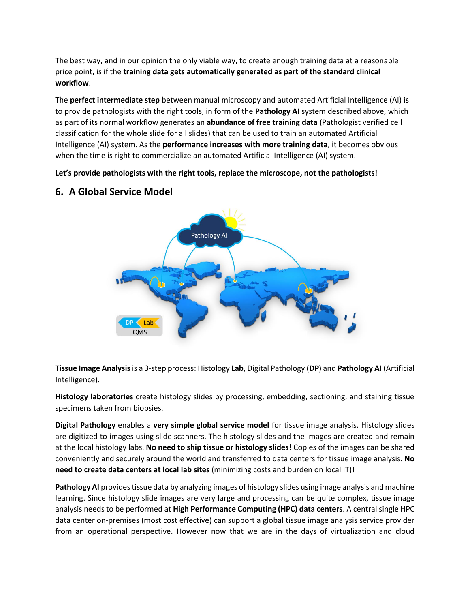The best way, and in our opinion the only viable way, to create enough training data at a reasonable price point, is if the **training data gets automatically generated as part of the standard clinical workflow**.

The **perfect intermediate step** between manual microscopy and automated Artificial Intelligence (AI) is to provide pathologists with the right tools, in form of the **Pathology AI** system described above, which as part of its normal workflow generates an **abundance of free training data** (Pathologist verified cell classification for the whole slide for all slides) that can be used to train an automated Artificial Intelligence (AI) system. As the **performance increases with more training data**, it becomes obvious when the time is right to commercialize an automated Artificial Intelligence (AI) system.

**Let's provide pathologists with the right tools, replace the microscope, not the pathologists!**



### **6. A Global Service Model**

**Tissue Image Analysis**is a 3-step process: Histology **Lab**, Digital Pathology (**DP**) and **Pathology AI** (Artificial Intelligence).

**Histology laboratories** create histology slides by processing, embedding, sectioning, and staining tissue specimens taken from biopsies.

**Digital Pathology** enables a **very simple global service model** for tissue image analysis. Histology slides are digitized to images using slide scanners. The histology slides and the images are created and remain at the local histology labs. **No need to ship tissue or histology slides!** Copies of the images can be shared conveniently and securely around the world and transferred to data centers for tissue image analysis. **No need to create data centers at local lab sites** (minimizing costs and burden on local IT)!

**Pathology AI** provides tissue data by analyzing images of histology slides using image analysis and machine learning. Since histology slide images are very large and processing can be quite complex, tissue image analysis needs to be performed at **High Performance Computing (HPC) data centers**. A central single HPC data center on-premises (most cost effective) can support a global tissue image analysis service provider from an operational perspective. However now that we are in the days of virtualization and cloud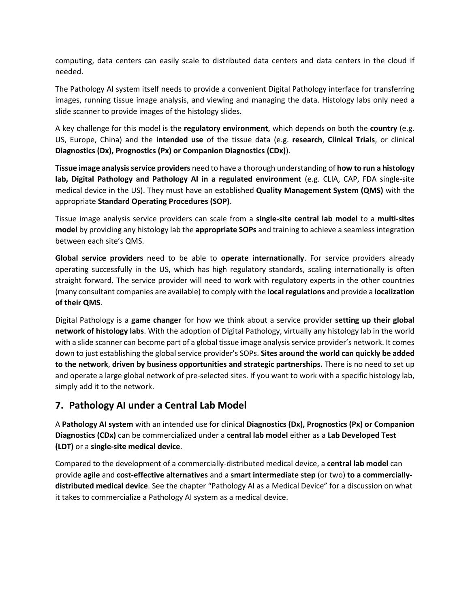computing, data centers can easily scale to distributed data centers and data centers in the cloud if needed.

The Pathology AI system itself needs to provide a convenient Digital Pathology interface for transferring images, running tissue image analysis, and viewing and managing the data. Histology labs only need a slide scanner to provide images of the histology slides.

A key challenge for this model is the **regulatory environment**, which depends on both the **country** (e.g. US, Europe, China) and the **intended use** of the tissue data (e.g. **research**, **Clinical Trials**, or clinical **Diagnostics (Dx), Prognostics (Px) or Companion Diagnostics (CDx)**).

**Tissue image analysis service providers** need to have a thorough understanding of **how to run a histology lab, Digital Pathology and Pathology AI in a regulated environment** (e.g. CLIA, CAP, FDA single-site medical device in the US). They must have an established **Quality Management System (QMS)** with the appropriate **Standard Operating Procedures (SOP)**.

Tissue image analysis service providers can scale from a **single-site central lab model** to a **multi-sites model** by providing any histology lab the **appropriate SOPs** and training to achieve a seamless integration between each site's QMS.

**Global service providers** need to be able to **operate internationally**. For service providers already operating successfully in the US, which has high regulatory standards, scaling internationally is often straight forward. The service provider will need to work with regulatory experts in the other countries (many consultant companies are available) to comply with the **local regulations** and provide a **localization of their QMS**.

Digital Pathology is a **game changer** for how we think about a service provider **setting up their global network of histology labs**. With the adoption of Digital Pathology, virtually any histology lab in the world with a slide scanner can become part of a global tissue image analysis service provider's network. It comes down to just establishing the global service provider's SOPs. **Sites around the world can quickly be added to the network**, **driven by business opportunities and strategic partnerships.** There is no need to set up and operate a large global network of pre-selected sites. If you want to work with a specific histology lab, simply add it to the network.

### **7. Pathology AI under a Central Lab Model**

A **Pathology AI system** with an intended use for clinical **Diagnostics (Dx), Prognostics (Px) or Companion Diagnostics (CDx)** can be commercialized under a **central lab model** either as a **Lab Developed Test (LDT)** or a **single-site medical device**.

Compared to the development of a commercially-distributed medical device, a **central lab model** can provide **agile** and **cost-effective alternatives** and a **smart intermediate step** (or two) **to a commerciallydistributed medical device**. See the chapter "Pathology AI as a Medical Device" for a discussion on what it takes to commercialize a Pathology AI system as a medical device.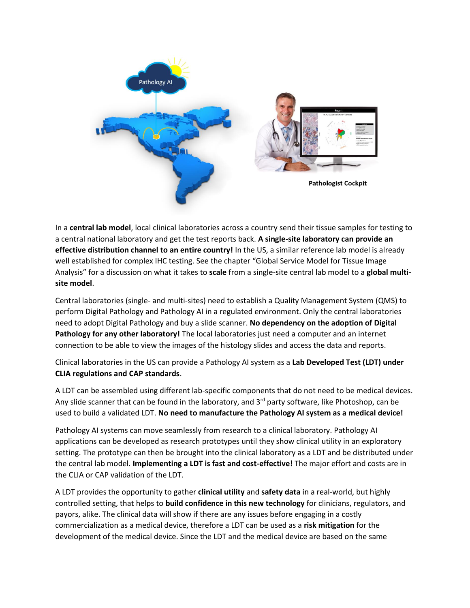

In a **central lab model**, local clinical laboratories across a country send their tissue samples for testing to a central national laboratory and get the test reports back. **A single-site laboratory can provide an effective distribution channel to an entire country!** In the US, a similar reference lab model is already well established for complex IHC testing. See the chapter "Global Service Model for Tissue Image Analysis" for a discussion on what it takes to **scale** from a single-site central lab model to a **global multisite model**.

Central laboratories (single- and multi-sites) need to establish a Quality Management System (QMS) to perform Digital Pathology and Pathology AI in a regulated environment. Only the central laboratories need to adopt Digital Pathology and buy a slide scanner. **No dependency on the adoption of Digital Pathology for any other laboratory!** The local laboratories just need a computer and an internet connection to be able to view the images of the histology slides and access the data and reports.

Clinical laboratories in the US can provide a Pathology AI system as a **Lab Developed Test (LDT) under CLIA regulations and CAP standards**.

A LDT can be assembled using different lab-specific components that do not need to be medical devices. Any slide scanner that can be found in the laboratory, and  $3<sup>rd</sup>$  party software, like Photoshop, can be used to build a validated LDT. **No need to manufacture the Pathology AI system as a medical device!** 

Pathology AI systems can move seamlessly from research to a clinical laboratory. Pathology AI applications can be developed as research prototypes until they show clinical utility in an exploratory setting. The prototype can then be brought into the clinical laboratory as a LDT and be distributed under the central lab model. **Implementing a LDT is fast and cost-effective!** The major effort and costs are in the CLIA or CAP validation of the LDT.

A LDT provides the opportunity to gather **clinical utility** and **safety data** in a real-world, but highly controlled setting, that helps to **build confidence in this new technology** for clinicians, regulators, and payors, alike. The clinical data will show if there are any issues before engaging in a costly commercialization as a medical device, therefore a LDT can be used as a **risk mitigation** for the development of the medical device. Since the LDT and the medical device are based on the same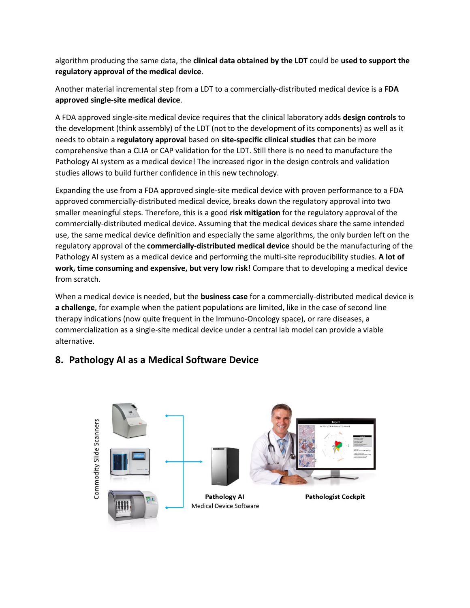algorithm producing the same data, the **clinical data obtained by the LDT** could be **used to support the regulatory approval of the medical device**.

Another material incremental step from a LDT to a commercially-distributed medical device is a **FDA approved single-site medical device**.

A FDA approved single-site medical device requires that the clinical laboratory adds **design controls** to the development (think assembly) of the LDT (not to the development of its components) as well as it needs to obtain a **regulatory approval** based on **site-specific clinical studies** that can be more comprehensive than a CLIA or CAP validation for the LDT. Still there is no need to manufacture the Pathology AI system as a medical device! The increased rigor in the design controls and validation studies allows to build further confidence in this new technology.

Expanding the use from a FDA approved single-site medical device with proven performance to a FDA approved commercially-distributed medical device, breaks down the regulatory approval into two smaller meaningful steps. Therefore, this is a good **risk mitigation** for the regulatory approval of the commercially-distributed medical device. Assuming that the medical devices share the same intended use, the same medical device definition and especially the same algorithms, the only burden left on the regulatory approval of the **commercially-distributed medical device** should be the manufacturing of the Pathology AI system as a medical device and performing the multi-site reproducibility studies. **A lot of work, time consuming and expensive, but very low risk!** Compare that to developing a medical device from scratch.

When a medical device is needed, but the **business case** for a commercially-distributed medical device is **a challenge**, for example when the patient populations are limited, like in the case of second line therapy indications (now quite frequent in the Immuno-Oncology space), or rare diseases, a commercialization as a single-site medical device under a central lab model can provide a viable alternative.



# **8. Pathology AI as a Medical Software Device**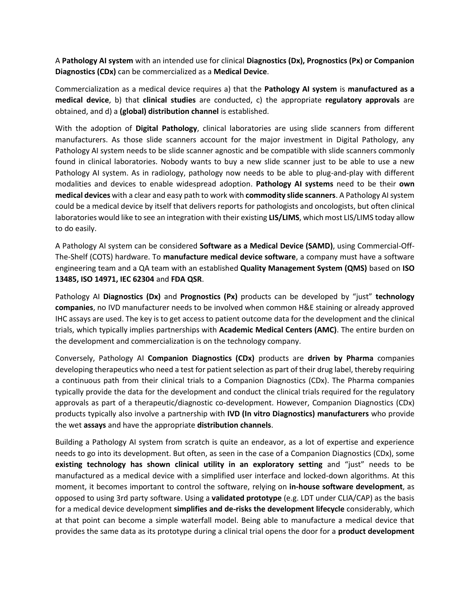A **Pathology AI system** with an intended use for clinical **Diagnostics (Dx), Prognostics (Px) or Companion Diagnostics (CDx)** can be commercialized as a **Medical Device**.

Commercialization as a medical device requires a) that the **Pathology AI system** is **manufactured as a medical device**, b) that **clinical studies** are conducted, c) the appropriate **regulatory approvals** are obtained, and d) a **(global) distribution channel** is established.

With the adoption of **Digital Pathology**, clinical laboratories are using slide scanners from different manufacturers. As those slide scanners account for the major investment in Digital Pathology, any Pathology AI system needs to be slide scanner agnostic and be compatible with slide scanners commonly found in clinical laboratories. Nobody wants to buy a new slide scanner just to be able to use a new Pathology AI system. As in radiology, pathology now needs to be able to plug-and-play with different modalities and devices to enable widespread adoption. **Pathology AI systems** need to be their **own medical devices** with a clear and easy path to work with **commodity slide scanners**. A Pathology AI system could be a medical device by itself that delivers reports for pathologists and oncologists, but often clinical laboratories would like to see an integration with their existing **LIS/LIMS**, which most LIS/LIMS today allow to do easily.

A Pathology AI system can be considered **Software as a Medical Device (SAMD)**, using Commercial-Off-The-Shelf (COTS) hardware. To **manufacture medical device software**, a company must have a software engineering team and a QA team with an established **Quality Management System (QMS)** based on **ISO 13485, ISO 14971, IEC 62304** and **FDA QSR**.

Pathology AI **Diagnostics (Dx)** and **Prognostics (Px)** products can be developed by "just" **technology companies**, no IVD manufacturer needs to be involved when common H&E staining or already approved IHC assays are used. The key is to get access to patient outcome data for the development and the clinical trials, which typically implies partnerships with **Academic Medical Centers (AMC)**. The entire burden on the development and commercialization is on the technology company.

Conversely, Pathology AI **Companion Diagnostics (CDx)** products are **driven by Pharma** companies developing therapeutics who need a test for patient selection as part of their drug label, thereby requiring a continuous path from their clinical trials to a Companion Diagnostics (CDx). The Pharma companies typically provide the data for the development and conduct the clinical trials required for the regulatory approvals as part of a therapeutic/diagnostic co-development. However, Companion Diagnostics (CDx) products typically also involve a partnership with **IVD (In vitro Diagnostics) manufacturers** who provide the wet **assays** and have the appropriate **distribution channels**.

Building a Pathology AI system from scratch is quite an endeavor, as a lot of expertise and experience needs to go into its development. But often, as seen in the case of a Companion Diagnostics (CDx), some **existing technology has shown clinical utility in an exploratory setting** and "just" needs to be manufactured as a medical device with a simplified user interface and locked-down algorithms. At this moment, it becomes important to control the software, relying on **in-house software development**, as opposed to using 3rd party software. Using a **validated prototype** (e.g. LDT under CLIA/CAP) as the basis for a medical device development **simplifies and de-risks the development lifecycle** considerably, which at that point can become a simple waterfall model. Being able to manufacture a medical device that provides the same data as its prototype during a clinical trial opens the door for a **product development**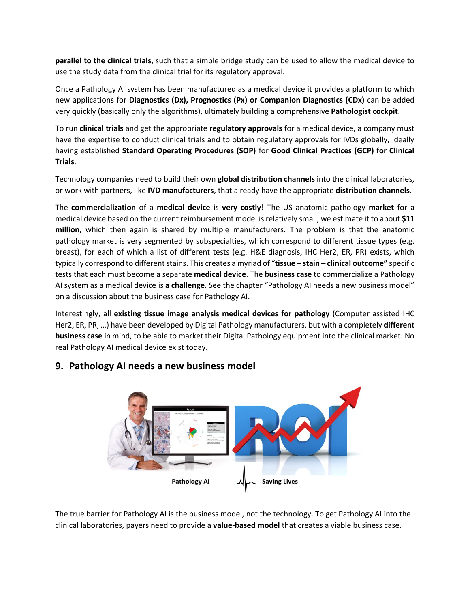**parallel to the clinical trials**, such that a simple bridge study can be used to allow the medical device to use the study data from the clinical trial for its regulatory approval.

Once a Pathology AI system has been manufactured as a medical device it provides a platform to which new applications for **Diagnostics (Dx), Prognostics (Px) or Companion Diagnostics (CDx)** can be added very quickly (basically only the algorithms), ultimately building a comprehensive **Pathologist cockpit**.

To run **clinical trials** and get the appropriate **regulatory approvals** for a medical device, a company must have the expertise to conduct clinical trials and to obtain regulatory approvals for IVDs globally, ideally having established **Standard Operating Procedures (SOP)** for **Good Clinical Practices (GCP) for Clinical Trials**.

Technology companies need to build their own **global distribution channels** into the clinical laboratories, or work with partners, like **IVD manufacturers**, that already have the appropriate **distribution channels**.

The **commercialization** of a **medical device** is **very costly**! The US anatomic pathology **market** for a medical device based on the current reimbursement model is relatively small, we estimate it to about **\$11 million**, which then again is shared by multiple manufacturers. The problem is that the anatomic pathology market is very segmented by subspecialties, which correspond to different tissue types (e.g. breast), for each of which a list of different tests (e.g. H&E diagnosis, IHC Her2, ER, PR) exists, which typically correspond to different stains. This creates a myriad of "**tissue – stain – clinical outcome"** specific tests that each must become a separate **medical device**. The **business case** to commercialize a Pathology AI system as a medical device is **a challenge**. See the chapter "Pathology AI needs a new business model" on a discussion about the business case for Pathology AI.

Interestingly, all **existing tissue image analysis medical devices for pathology** (Computer assisted IHC Her2, ER, PR, …) have been developed by Digital Pathology manufacturers, but with a completely **different business case** in mind, to be able to market their Digital Pathology equipment into the clinical market. No real Pathology AI medical device exist today.



### **9. Pathology AI needs a new business model**

The true barrier for Pathology AI is the business model, not the technology. To get Pathology AI into the clinical laboratories, payers need to provide a **value-based model** that creates a viable business case.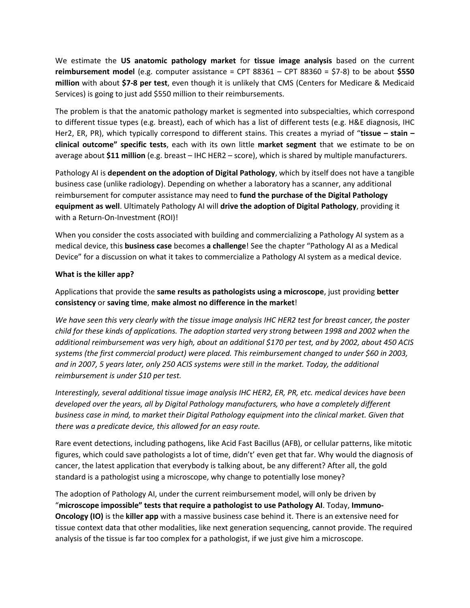We estimate the **US anatomic pathology market** for **tissue image analysis** based on the current **reimbursement model** (e.g. computer assistance = CPT 88361 – CPT 88360 = \$7-8) to be about **\$550 million** with about **\$7-8 per test**, even though it is unlikely that CMS (Centers for Medicare & Medicaid Services) is going to just add \$550 million to their reimbursements.

The problem is that the anatomic pathology market is segmented into subspecialties, which correspond to different tissue types (e.g. breast), each of which has a list of different tests (e.g. H&E diagnosis, IHC Her2, ER, PR), which typically correspond to different stains. This creates a myriad of "**tissue – stain – clinical outcome" specific tests**, each with its own little **market segment** that we estimate to be on average about **\$11 million** (e.g. breast – IHC HER2 – score), which is shared by multiple manufacturers.

Pathology AI is **dependent on the adoption of Digital Pathology**, which by itself does not have a tangible business case (unlike radiology). Depending on whether a laboratory has a scanner, any additional reimbursement for computer assistance may need to **fund the purchase of the Digital Pathology equipment as well**. Ultimately Pathology AI will **drive the adoption of Digital Pathology**, providing it with a Return-On-Investment (ROI)!

When you consider the costs associated with building and commercializing a Pathology AI system as a medical device, this **business case** becomes **a challenge**! See the chapter "Pathology AI as a Medical Device" for a discussion on what it takes to commercialize a Pathology AI system as a medical device.

#### **What is the killer app?**

Applications that provide the **same results as pathologists using a microscope**, just providing **better consistency** or **saving time**, **make almost no difference in the market**!

*We have seen this very clearly with the tissue image analysis IHC HER2 test for breast cancer, the poster child for these kinds of applications. The adoption started very strong between 1998 and 2002 when the additional reimbursement was very high, about an additional \$170 per test, and by 2002, about 450 ACIS systems (the first commercial product) were placed. This reimbursement changed to under \$60 in 2003, and in 2007, 5 years later, only 250 ACIS systems were still in the market. Today, the additional reimbursement is under \$10 per test.* 

*Interestingly, several additional tissue image analysis IHC HER2, ER, PR, etc. medical devices have been developed over the years, all by Digital Pathology manufacturers, who have a completely different business case in mind, to market their Digital Pathology equipment into the clinical market. Given that there was a predicate device, this allowed for an easy route.* 

Rare event detections, including pathogens, like Acid Fast Bacillus (AFB), or cellular patterns, like mitotic figures, which could save pathologists a lot of time, didn't' even get that far. Why would the diagnosis of cancer, the latest application that everybody is talking about, be any different? After all, the gold standard is a pathologist using a microscope, why change to potentially lose money?

The adoption of Pathology AI, under the current reimbursement model, will only be driven by "**microscope impossible" tests that require a pathologist to use Pathology AI**. Today, **Immuno-Oncology (IO)** is the **killer app** with a massive business case behind it. There is an extensive need for tissue context data that other modalities, like next generation sequencing, cannot provide. The required analysis of the tissue is far too complex for a pathologist, if we just give him a microscope.